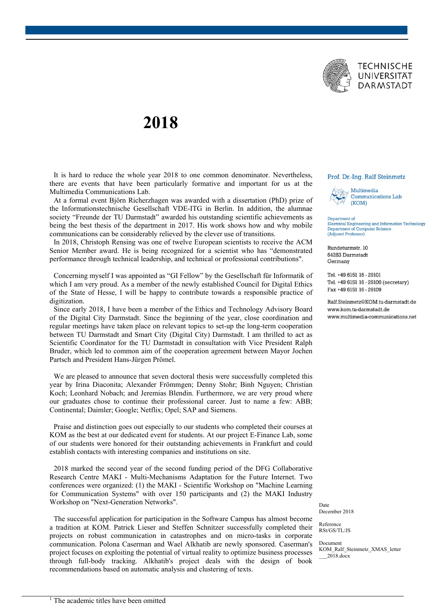

## **2018**

It is hard to reduce the whole year 2018 to one common denominator. Nevertheless, there are events that have been particularly formative and important for us at the Multimedia Communications Lab.

At a formal event Björn Richerzhagen was awarded with a dissertation (PhD) prize of the Informationstechnische Gesellschaft VDE-ITG in Berlin. In addition, the alumnae society "Freunde der TU Darmstadt" awarded his outstanding scientific achievements as being the best thesis of the department in 2017. His work shows how and why mobile communications can be considerably relieved by the clever use of transitions.

In 2018, Christoph Rensing was one of twelve European scientists to receive the ACM Senior Member award. He is being recognized for a scientist who has "demonstrated performance through technical leadership, and technical or professional contributions".

Concerning myself I was appointed as "GI Fellow" by the Gesellschaft für Informatik of which I am very proud. As a member of the newly established Council for Digital Ethics of the State of Hesse, I will be happy to contribute towards a responsible practice of digitization.

Since early 2018, I have been a member of the Ethics and Technology Advisory Board of the Digital City Darmstadt. Since the beginning of the year, close coordination and regular meetings have taken place on relevant topics to set-up the long-term cooperation between TU Darmstadt and Smart City (Digital City) Darmstadt. I am thrilled to act as Scientific Coordinator for the TU Darmstadt in consultation with Vice President Ralph Bruder, which led to common aim of the cooperation agreement between Mayor Jochen Partsch and President Hans-Jürgen Prömel.

We are pleased to announce that seven doctoral thesis were successfully completed this year by Irina Diaconita; Alexander Frömmgen; Denny Stohr; Binh Nguyen; Christian Koch; Leonhard Nobach; and Jeremias Blendin. Furthermore, we are very proud where our graduates chose to continue their professional career. Just to name a few: ABB; Continental; Daimler; Google; Netflix; Opel; SAP and Siemens.

Praise and distinction goes out especially to our students who completed their courses at KOM as the best at our dedicated event for students. At our project E-Finance Lab, some of our students were honored for their outstanding achievements in Frankfurt and could establish contacts with interesting companies and institutions on site.

2018 marked the second year of the second funding period of the DFG Collaborative Research Centre MAKI - Multi-Mechanisms Adaptation for the Future Internet. Two conferences were organized: (1) the MAKI - Scientific Workshop on "Machine Learning for Communication Systems" with over 150 participants and (2) the MAKI Industry Workshop on "Next-Generation Networks".

The successful application for participation in the Software Campus has almost become a tradition at KOM. Patrick Lieser and Steffen Schnitzer successfully completed their projects on robust communication in catastrophes and on micro-tasks in corporate communication. Polona Caserman and Wael Alkhatib are newly sponsored. Caserman's project focuses on exploiting the potential of virtual reality to optimize business processes through full-body tracking. Alkhatib's project deals with the design of book recommendations based on automatic analysis and clustering of texts.

## Prof. Dr.-Ing. Ralf Steinmetz



Department of Electrical Engineering and Information Technology Department of Computer Science (Adjunct Professor)

Rundeturmstr. 10 64283 Darmstadt Germany

Tel. +49 6151 16 - 29101 Tel. +49 6151 16 - 29100 (secretary) Fax +49 6151 16 - 29109

Ralf Steinmetz@KOM tu-darmstadt de www.kom.tu-darmstadt.de www.multimedia-communications.net

Date December 2018

Reference RSt/GS/TL/JS

Document KOM\_Ralf\_Steinmetz\_XMAS\_letter \_\_\_2018.docx